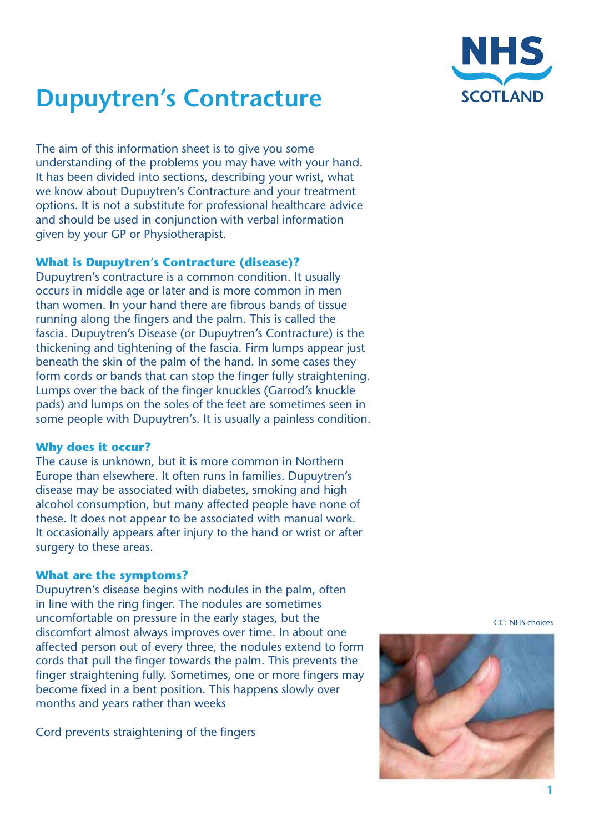

# **Dupuytren's Contracture**

The aim of this information sheet is to give you some understanding of the problems you may have with your hand. It has been divided into sections, describing your wrist, what we know about Dupuytren's Contracture and your treatment options. It is not a substitute for professional healthcare advice and should be used in conjunction with verbal information given by your GP or Physiotherapist.

#### **What is Dupuytren's Contracture (disease)?**

Dupuytren's contracture is a common condition. It usually occurs in middle age or later and is more common in men than women. In your hand there are fibrous bands of tissue running along the fingers and the palm. This is called the fascia. Dupuytren's Disease (or Dupuytren's Contracture) is the thickening and tightening of the fascia. Firm lumps appear just beneath the skin of the palm of the hand. In some cases they form cords or bands that can stop the finger fully straightening. Lumps over the back of the finger knuckles (Garrod's knuckle pads) and lumps on the soles of the feet are sometimes seen in some people with Dupuytren's. It is usually a painless condition.

#### **Why does it occur?**

The cause is unknown, but it is more common in Northern Europe than elsewhere. It often runs in families. Dupuytren's disease may be associated with diabetes, smoking and high alcohol consumption, but many affected people have none of these. It does not appear to be associated with manual work. It occasionally appears after injury to the hand or wrist or after surgery to these areas.

#### **What are the symptoms?**

Dupuytren's disease begins with nodules in the palm, often in line with the ring finger. The nodules are sometimes uncomfortable on pressure in the early stages, but the discomfort almost always improves over time. In about one affected person out of every three, the nodules extend to form cords that pull the finger towards the palm. This prevents the finger straightening fully. Sometimes, one or more fingers may become fixed in a bent position. This happens slowly over months and years rather than weeks

Cord prevents straightening of the fingers